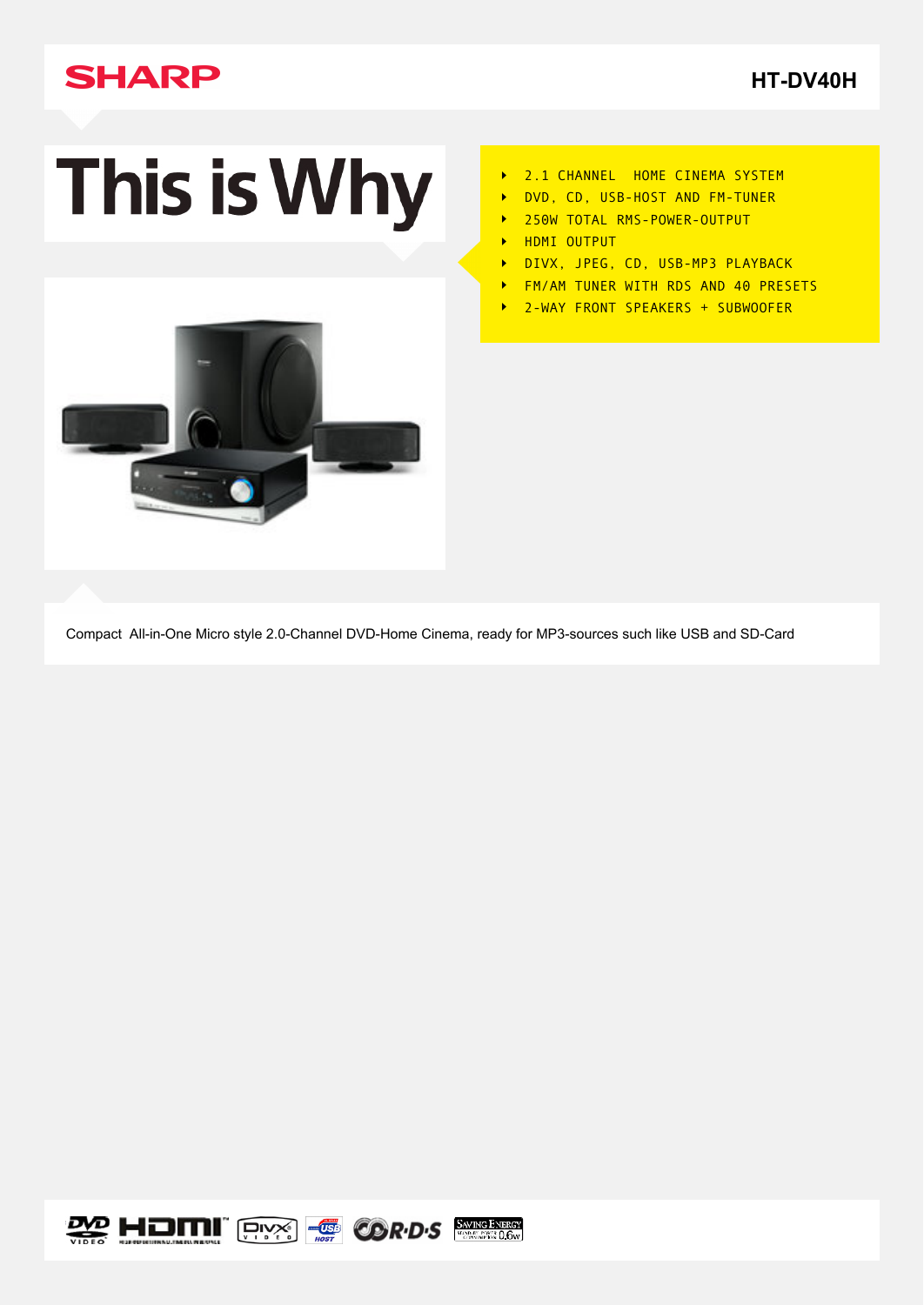## **SHARP**

**[HT-DV40H](http://www.sharp.co.uk/cps/rde/xchg/gb/hs.xsl/-/html/download-centre.htm?p=HTDV40H)**

# This is Why



- 2.1 CHANNEL HOME CINEMA SYSTEM  $\blacktriangleright$
- DVD, CD, USB-HOST AND FM-TUNER
- 250W TOTAL RMS-POWER-OUTPUT  $\blacktriangleright$
- HDMI OUTPUT  $\blacktriangleright$
- DIVX, JPEG, CD, USB-MP3 PLAYBACK  $\blacktriangleright$
- FM/AM TUNER WITH RDS AND 40 PRESETS  $\blacktriangleright$
- $\ddot{\phantom{1}}$ 2-WAY FRONT SPEAKERS + SUBWOOFER

Compact All-in-One Micro style 2.0-Channel DVD-Home Cinema, ready for MP3-sources such like USB and SD-Card